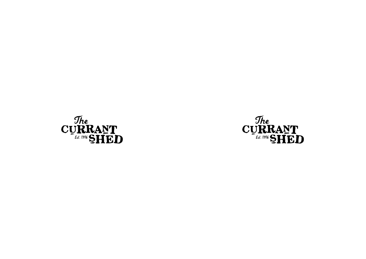

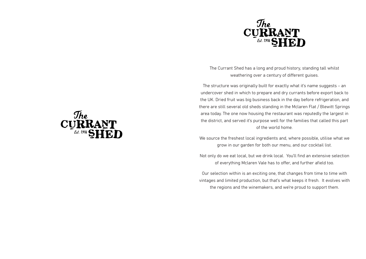

The Currant Shed has a long and proud history, standing tall whilst weathering over a century of different guises.

The structure was originally built for exactly what it's name suggests - an undercover shed in which to prepare and dry currants before export back to the UK. Dried fruit was big business back in the day before refrigeration, and there are still several old sheds standing in the Mclaren Flat / Blewitt Springs area today. The one now housing the restaurant was reputedly the largest in the district, and served it's purpose well for the families that called this part of the world home.

We source the freshest local ingredients and, where possible, utilise what we grow in our garden for both our menu, and our cocktail list.

Not only do we eat local, but we drink local. You'll find an extensive selection of everything Mclaren Vale has to offer, and further afield too.

Our selection within is an exciting one, that changes from time to time with vintages and limited production, but that's what keeps it fresh. It evolves with the regions and the winemakers, and we're proud to support them.

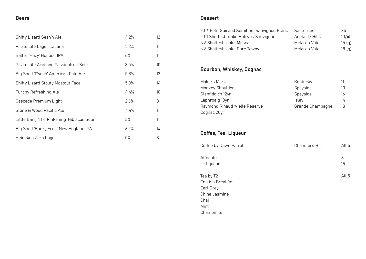#### Beers

| Shifty Lizard Sesh'n Ale                  | 4.2% | 12                |
|-------------------------------------------|------|-------------------|
| Pirate Life Lager Italiana                | 5.2% | 11                |
| Balter 'Hazy' Hopped IPA                  | 6%   | 11                |
| Pirate Life Acai and Passionfruit Sour    | 3.5% | 10                |
| Big Shed 'f*yeah' American Pale Ale       | 5.8% | $12 \overline{ }$ |
| <b>Shifty Lizard Stouty Mcstout Face</b>  | 5.0% | 14                |
| Furphy Refreshing Ale                     | 4.4% | 10                |
| Cascade Premium Light                     | 2.6% | 8                 |
| Stone & Wood Pacific Ale                  | 4.4% | 11                |
| Little Bang 'The Pinkening' Hibiscus Sour | 3%   | 11                |
| Big Shed 'Boozy Fruit' New England IPA    | 6.2% | 14                |
| Heineken Zero Lager                       | 0%   | 8                 |

### Dessert

Mint

Chamomile

| 2016 Petit Guiraud Semillon, Sauvignon Blanc<br>2011 Shottesbrooke Botrytis Sauvignon<br>NV Shottesbrooke Muscat<br>NV Shottesbrooke Rare Tawny | Sauternes<br>Adelaide Hills<br>Mclaren Vale<br>Mclaren Vale   | 85<br>10/45<br>15(g)<br>18(g) |
|-------------------------------------------------------------------------------------------------------------------------------------------------|---------------------------------------------------------------|-------------------------------|
| <b>Bourbon, Whiskey, Cognac</b>                                                                                                                 |                                                               |                               |
| Makers Mark<br>Monkey Shoulder<br>Glenfiddich 12yr<br>Laphroaig 10yr<br>Raymond Rinaud 'Vielle Reserve'<br>Cognac 20yr                          | Kentucky<br>Speyside<br>Speyside<br>Islay<br>Grande Champagne | 11<br>10<br>16<br>14<br>18    |
| Coffee, Tea, Liqueur                                                                                                                            |                                                               |                               |
| Coffee by Dawn Patrol                                                                                                                           | Chandlers Hill                                                | All 5                         |
| Affogato<br>+ liqueur                                                                                                                           |                                                               | 8<br>15                       |
| Tea by T2<br>English Breakfast<br>Earl Grey<br>China Jasmine<br>Chai                                                                            |                                                               | All <sub>5</sub>              |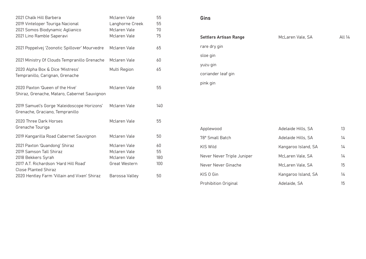| 2021 Chalk Hill Barbera<br>2019 Vinteloper Touriga Nacional<br>2021 Somos Biodynamic Aglianico<br>2021 Lino Ramble Saperavi                            | Mclaren Vale<br>Langhorne Creek<br>Mclaren Vale<br>Mclaren Vale | 55<br>55<br>70<br>75   |
|--------------------------------------------------------------------------------------------------------------------------------------------------------|-----------------------------------------------------------------|------------------------|
| 2021 Poppelvej 'Zoonotic Spillover' Mourvedre                                                                                                          | Mclaren Vale                                                    | 65                     |
| 2021 Ministry Of Clouds Tempranillo Grenache                                                                                                           | Mclaren Vale                                                    | 60                     |
| 2020 Alpha Box & Dice 'Mistress'<br>Tempranillo, Carignan, Grenache                                                                                    | Multi Region                                                    | 65                     |
| 2020 Paxton 'Queen of the Hive'<br>Shiraz, Grenache, Mataro, Cabernet Sauvignon                                                                        | Mclaren Vale                                                    | 55                     |
| 2019 Samuel's Gorge 'Kaleidoscope Horizons'<br>Grenache, Graciano, Tempranillo                                                                         | Mclaren Vale                                                    | 140                    |
| 2020 Three Dark Horses<br>Grenache Touriga                                                                                                             | Mclaren Vale                                                    | 55                     |
| 2019 Kangarilla Road Cabernet Sauvignon                                                                                                                | Mclaren Vale                                                    | 50                     |
| 2021 Paxton 'Quandong' Shiraz<br>2019 Samson Tall Shiraz<br>2018 Bekkers Syrah<br>2017 A.T. Richardson 'Hard Hill Road'<br><b>Close Planted Shiraz</b> | Mclaren Vale<br>Mclaren Vale<br>Mclaren Vale<br>Great Western   | 60<br>55<br>180<br>100 |
| 2020 Hentley Farm 'Villain and Vixen' Shiraz                                                                                                           | Barossa Valley                                                  | 50                     |

# Gins

| <b>Settlers Artisan Range</b> | McLaren Vale, SA    | All 14 |
|-------------------------------|---------------------|--------|
| rare dry gin                  |                     |        |
| sloe gin                      |                     |        |
| yuzu gin                      |                     |        |
| coriander leaf gin            |                     |        |
| pink gin                      |                     |        |
|                               |                     |        |
|                               |                     |        |
|                               |                     |        |
|                               |                     |        |
| Applewood                     | Adelaide Hills, SA  | 13     |
| 78° Small Batch               | Adelaide Hills, SA  | 14     |
| KIS Wild                      | Kangaroo Island, SA | 14     |
| Never Never Triple Juniper    | McLaren Vale, SA    | 14     |
| Never Never Ginache           | McLaren Vale, SA    | 15     |
| KIS 0 Gin                     | Kangaroo Island, SA | 14     |
| Prohibition Original          | Adelaide, SA        | 15     |
|                               |                     |        |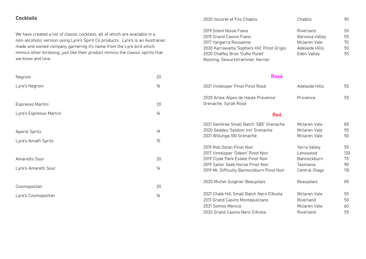#### **Cocktails**

We have created a list of classic cocktails, all of which are available in a non-alcoholic version using Lyre's Spirit Co products. Lyre's is an Australian made and owned company garnering it's name from the Lyre bird which mimics other birdsong, just like their product mimics the classic spirits that we know and love.

| Negroni                 | 20 |
|-------------------------|----|
| Lyre's Negroni          | 16 |
|                         |    |
| Espresso Martini        | 20 |
| Lyre's Espresso Martini | 16 |
|                         |    |
| Aperol Spritz           | 19 |
| Lyre's Amalfi Spritz    | 15 |
|                         |    |
| Amaretto Sour           | 20 |
| Lyre's Amaretti Sour    | 16 |
|                         |    |
| Cosmopolitan            | 20 |
| Lyre's Cosmopolitan     | 16 |

| 2020 Vocoret et Fils Chablis                                                                                                                                                                         | Chablis                                                                      | 90                         |
|------------------------------------------------------------------------------------------------------------------------------------------------------------------------------------------------------|------------------------------------------------------------------------------|----------------------------|
| 2019 Silent Noise Fiano<br>2015 Grand Casino Fiano<br>2017 Yangarra Rousanne<br>2020 Karrawatta 'Sophie's Hill' Pinot Grigio<br>2020 Chaffey Bros 'Dufte Punkt'<br>Riesling, Gewurtztraminer, Kerner | Riverland<br>Barossa Valley<br>Mclaren Vale<br>Adelaide Hills<br>Eden Valley | 50<br>55<br>70<br>50<br>55 |
|                                                                                                                                                                                                      |                                                                              |                            |

#### Rosé

| 2021 Vinteloper Pinot Pinot Rosé                                                                                                                                                        | Adelaide Hills                                                              | 55                           |
|-----------------------------------------------------------------------------------------------------------------------------------------------------------------------------------------|-----------------------------------------------------------------------------|------------------------------|
| 2020 Artea 'Alpes de Haute Provence'<br>Grenache, Syrah Rosé                                                                                                                            | Provence                                                                    | 55                           |
| Red                                                                                                                                                                                     |                                                                             |                              |
| 2021 Gemtree Small Batch 'SBE' Grenache<br>2020 Geddes 'Seldom Inn' Grenache<br>2021 Willunga 100 Grenache                                                                              | McJaren Vale<br>Mclaren Vale<br>Mclaren Vale                                | 85<br>55<br>50               |
| 2019 Rob Dolan Pinot Noir<br>2017 Vinteloper 'Odeon' Pinot Noir<br>2019 Clyde Park Estate Pinot Noir<br>2019 Sailor Seek Horse Pinot Noir<br>2019 Mt. Difficulty Bannockburn Pinot Noir | Yarra Valley<br>Lenswood<br><b>Bannockburn</b><br>Tasmania<br>Central Otago | 55<br>120<br>75<br>90<br>110 |
| 2020 Michel Guignier Beaujolais                                                                                                                                                         | Beaujolais                                                                  | 85                           |
| 2021 Chalk Hill Small Batch Nero D'Avola<br>2017 Grand Casino Montepulciano<br>2021 Somos Mencia<br>2020 Grand Casino Nero D'Avola                                                      | Mclaren Vale<br>Riverland<br>McJaren Vale<br>Riverland                      | 55<br>50<br>60<br>55         |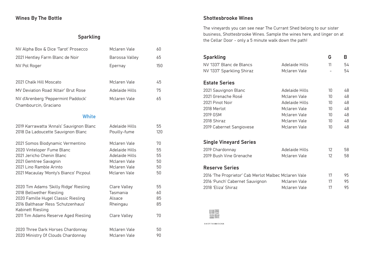# Wines By The Bottle

### Sparkling

| NV Alpha Box & Dice 'Tarot' Prosecco                                           | Mclaren Vale                   | 60        |
|--------------------------------------------------------------------------------|--------------------------------|-----------|
| 2021 Hentley Farm Blanc de Noir                                                | Barossa Valley                 | 65        |
| NV Pol Roger                                                                   | Epernay                        | 150       |
|                                                                                |                                |           |
| 2021 Chalk Hill Moscato                                                        | Mclaren Vale                   | 45        |
| MV Deviation Road 'Altair' Brut Rose                                           | Adelaide Hills                 | 75        |
| NV d'Arenberg 'Peppermint Paddock'<br>Chambourcin, Graciano                    | Mclaren Vale                   | 65        |
| White                                                                          |                                |           |
| 2019 Karrawatta 'Anna's' Sauvignon Blanc<br>2018 Da Ladoucette Sauvignon Blanc | Adelaide Hills<br>Pouilly-fume | 55<br>120 |
| 2021 Somos Biodynamic Vermentino                                               | Mclaren Vale                   | 70        |
| 2020 Vinteloper Fume Blanc                                                     | Adelaide Hills                 | 55        |
| 2021 Jericho Chenin Blanc                                                      | Adelaide Hills                 | 55<br>50  |
| 2021 Gemtree Savagnin<br>2021 Lino Ramble Arinto                               | Mclaren Vale<br>Mclaren Vale   | 50        |
| 2021 Macaulay 'Monty's Bianco' Picpoul                                         | Mclaren Vale                   | 50        |
| 2020 Tim Adams 'Skilly Ridge' Riesling                                         | Clare Valley                   | 55        |
| 2018 Bellwether Riesling                                                       | Tasmania                       | 60        |
| 2020 Famille Hugel Classic Riesling                                            | Alsace                         | 85        |
| 2016 Balthasar Ress 'Schutzenhaus'<br>Kabinett Riesling                        | Rheingau                       | 85        |
| 2011 Tim Adams Reserve Aged Riesling                                           | Clare Valley                   | 70        |
| 2020 Three Dark Horses Chardonnay                                              | Mclaren Vale                   | 50        |
| 2020 Ministry Of Clouds Chardonnay                                             | Mclaren Vale                   | 90        |

### Shottesbrooke Wines

The vineyards you can see near The Currant Shed belong to our sister business, Shottesbrooke Wines. Sample the wines here, and linger on at the Cellar Door - only a 5 minute walk down the path!

| <b>Sparkling</b>                                     |                | G               | В  |
|------------------------------------------------------|----------------|-----------------|----|
| NV '1337' Blanc de Blancs                            | Adelaide Hills | 11              | 54 |
| NV '1337' Sparkling Shiraz                           | Mclaren Vale   |                 | 54 |
| <b>Estate Series</b>                                 |                |                 |    |
| 2021 Sauvignon Blanc                                 | Adelaide Hills | 10              | 48 |
| 2021 Grenache Rosé                                   | Mclaren Vale   | 10              | 48 |
| 2021 Pinot Noir                                      | Adelaide Hills | 10              | 48 |
| 2018 Merlot                                          | Mclaren Vale   | 10              | 48 |
| 2019 GSM                                             | Mclaren Vale   | 10 <sup>1</sup> | 48 |
| 2018 Shiraz                                          | McJaren Vale   | 10              | 48 |
| 2019 Cabernet Sangiovese                             | Mclaren Vale   | 10              | 48 |
| <b>Single Vineyard Series</b>                        |                |                 |    |
| 2019 Chardonnay                                      | Adelaide Hills | 12              | 58 |
| 2019 Bush Vine Grenache                              | Mclaren Vale   | 12              | 58 |
| <b>Reserve Series</b>                                |                |                 |    |
| 2016 'The Proprietor' Cab Merlot Malbec Mclaren Vale |                | 17              | 95 |
| 2016 'Punch' Cabernet Sauvignon                      | Mclaren Vale   | 17              | 95 |
| 2018 'Eliza' Shiraz                                  | Mclaren Vale   | 17              | 95 |



SHOTTESBROOKE